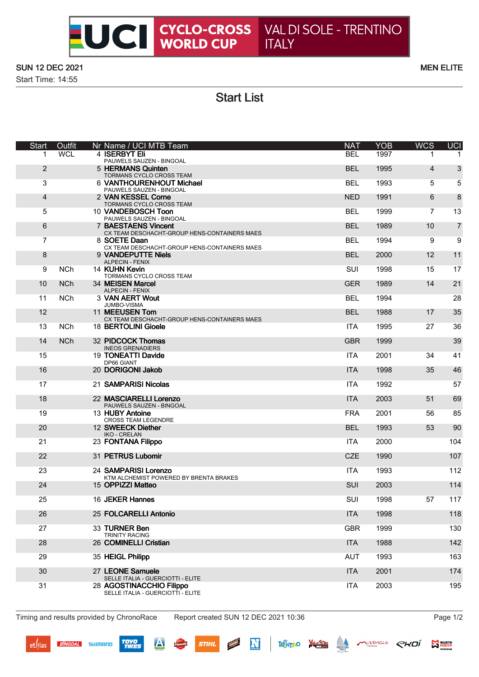# **EUCE CYCLO-CROSS** VAL DI SOLE - TRENTINO<br>WORLD CUP ITALY

## **SUN 12 DEC 2021**

Start Time: 14:55

#### **MEN ELITE**

**Start List** 

| <b>Start</b>   | Outfit     | Nr Name / UCI MTB Team                                                                             | <b>NAT</b> | <b>YOB</b> | <b>WCS</b> | UCI            |
|----------------|------------|----------------------------------------------------------------------------------------------------|------------|------------|------------|----------------|
| 1              | WCL.       | 4 ISERBYT Eli<br>PAUWELS SAUZEN - BINGOAL                                                          | <b>BEL</b> | 1997       |            |                |
| 2              |            | 5 HERMANS Quinten<br>TORMANS CYCLO CROSS TEAM                                                      | <b>BEL</b> | 1995       | 4          | 3              |
| 3              |            | 6 VANTHOURENHOUT Michael<br>PAUWELS SAUZEN - BINGOAL                                               | <b>BEL</b> | 1993       | 5          | 5              |
| $\overline{4}$ |            | 2 VAN KESSEL Corne<br>TORMANS CYCLO CROSS TEAM                                                     | <b>NED</b> | 1991       | 6          | 8              |
| 5              |            | 10 VANDEBOSCH Toon<br>PAUWELS SAUZEN - BINGOAL                                                     | <b>BEL</b> | 1999       | 7          | 13             |
| 6              |            | 7 BAESTAENS Vincent<br>CX TEAM DESCHACHT-GROUP HENS-CONTAINERS MAES                                | <b>BEL</b> | 1989       | 10         | $\overline{7}$ |
| $\overline{7}$ |            | 8 SOETE Daan<br>CX TEAM DESCHACHT-GROUP HENS-CONTAINERS MAES                                       | <b>BEL</b> | 1994       | 9          | 9              |
| 8              |            | 9 VANDEPUTTE Niels<br><b>ALPECIN - FENIX</b>                                                       | <b>BEL</b> | 2000       | 12         | 11             |
| 9              | <b>NCh</b> | 14 KUHN Kevin                                                                                      | SUI        | 1998       | 15         | 17             |
| 10             | <b>NCh</b> | TORMANS CYCLO CROSS TEAM<br>34 MEISEN Marcel                                                       | <b>GER</b> | 1989       | 14         | 21             |
| 11             | <b>NCh</b> | <b>ALPECIN - FENIX</b><br>3 VAN AERT Wout                                                          | <b>BEL</b> | 1994       |            | 28             |
| 12             |            | JUMBO-VISMA<br>11 MEEUSEN Tom                                                                      | <b>BEL</b> | 1988       | 17         | 35             |
| 13             | <b>NCh</b> | CX TEAM DESCHACHT-GROUP HENS-CONTAINERS MAES<br>18 BERTOLINI Gioele                                | <b>ITA</b> | 1995       | 27         | 36             |
| 14             | <b>NCh</b> | 32 PIDCOCK Thomas                                                                                  | <b>GBR</b> | 1999       |            | 39             |
| 15             |            | <b>INEOS GRENADIERS</b><br>19 TONEATTI Davide                                                      | <b>ITA</b> | 2001       | 34         | 41             |
| 16             |            | DP66 GIANT<br>20 DORIGONI Jakob                                                                    | <b>ITA</b> | 1998       | 35         | 46             |
| 17             |            | 21 SAMPARISI Nicolas                                                                               | ITA        | 1992       |            | 57             |
| 18             |            | 22 MASCIARELLI Lorenzo<br>PAUWELS SAUZEN - BINGOAL                                                 | <b>ITA</b> | 2003       | 51         | 69             |
| 19             |            | 13 HUBY Antoine<br><b>CROSS TEAM LEGENDRE</b>                                                      | <b>FRA</b> | 2001       | 56         | 85             |
| 20             |            | 12 SWEECK Diether<br><b>IKO - CRELAN</b>                                                           | <b>BEL</b> | 1993       | 53         | 90             |
| 21             |            | 23 FONTANA Filippo                                                                                 | <b>ITA</b> | 2000       |            | 104            |
| 22             |            | 31 PETRUS Lubomir                                                                                  | <b>CZE</b> | 1990       |            | 107            |
| 23             |            | 24 SAMPARISI Lorenzo<br>KTM ALCHEMIST POWERED BY BRENTA BRAKES                                     | <b>ITA</b> | 1993       |            | 112            |
| 24             |            | 15 OPPIZZI Matteo                                                                                  | <b>SUI</b> | 2003       |            | 114            |
| 25             |            | 16 JEKER Hannes                                                                                    | SUI        | 1998       | 57         | 117            |
| 26             |            | 25 FOLCARELLI Antonio                                                                              | <b>ITA</b> | 1998       |            | 118            |
| 27             |            | 33 TURNER Ben<br><b>TRINITY RACING</b>                                                             | <b>GBR</b> | 1999       |            | 130            |
| 28             |            | 26 COMINELLI Cristian                                                                              | <b>ITA</b> | 1988       |            | 142            |
| 29             |            | 35 HEIGL Philipp                                                                                   | AUT        | 1993       |            | 163            |
| 30             |            | 27 LEONE Samuele                                                                                   | <b>ITA</b> | 2001       |            | 174            |
| 31             |            | SELLE ITALIA - GUERCIOTTI - ELITE<br>28 AGOSTINACCHIO Filippo<br>SELLE ITALIA - GUERCIOTTI - ELITE | <b>ITA</b> | 2003       |            | 195            |
|                |            |                                                                                                    |            |            |            |                |

Timing and results provided by ChronoRace

**BINGOAL** SHIMANO

**TOYO**<br>TIRES

 $\overline{\mathbf{A}}$ 

Report created SUN 12 DEC 2021 10:36

N

**NARRAINT** 

**STIHL** 

Page 1/2

THENTINO WAS A MUSEUM CHOI SUBSTITUTE OF THE RESIDENCE OF THE RESIDENCE OF THE RESIDENCE OF THE RESIDENCE OF THE RESIDENCE OF THE RESIDENCE OF THE RESIDENCE OF THE RESIDENCE OF THE RESIDENCE OF THE RESIDENCE OF THE RESIDEN